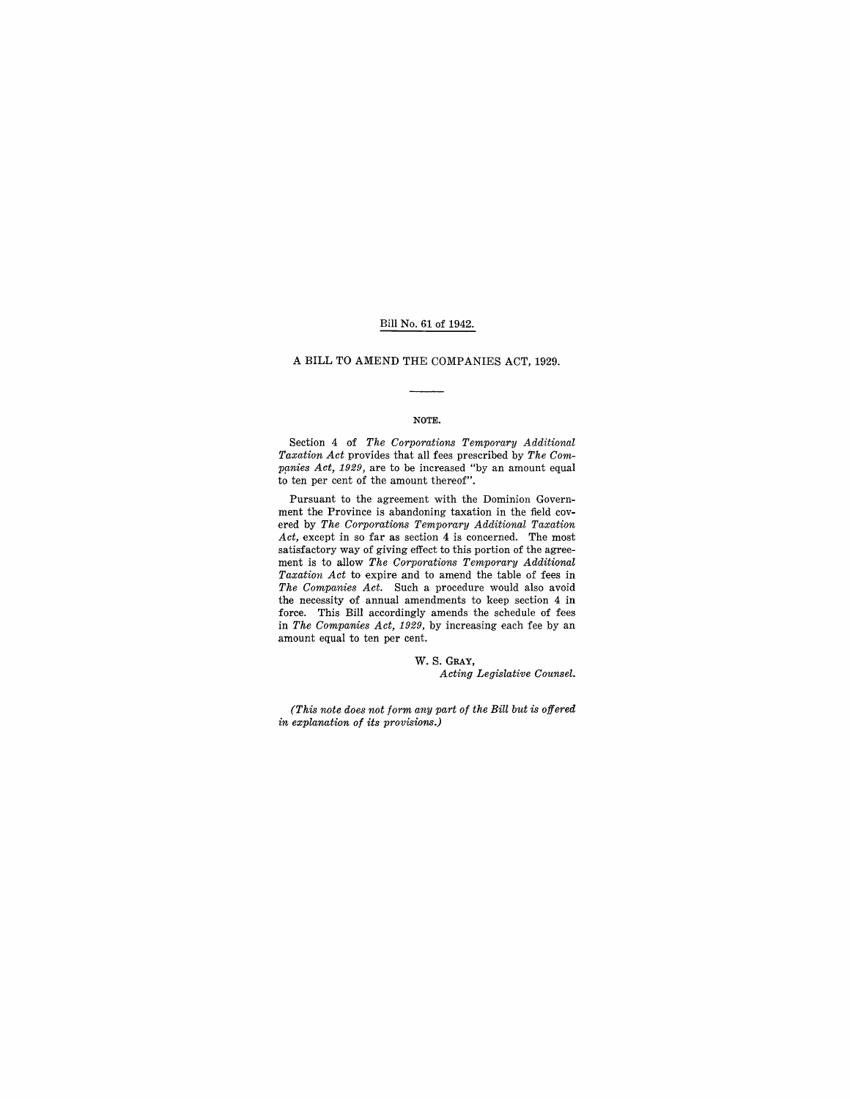### Bill No. 61 of 1942.

# A BILL TO AMEND THE COMPANIES ACT, 1929.

#### NOTE.

Section 4 of *The Corporations Temporary Additional Taxation Act* provides that all fees prescribed by *The Com*panies Act, 1929, are to be increased "by an amount equal to ten per cent of the amount thereof".

Pursuant to the agreement with the Dominion Government the Province is abandoning taxation in the field covered by *The Corporations Temporary Additional Taxation*  Act, except in so far as section 4 is concerned. The most satisfactory way of giving effect to this portion of the agreement is to allow *The Corporations Temporary Additional Taxation Act* to expire and to amend the table of fees in *The Companies Act.* Such a procedure would also avoid the necessity of annual amendments to keep section 4 in force. This Bill accordingly amends the schedule of fees in *The Companies Act,* 1929, by increasing each fee by an amount equal to ten per cent.

> W. S. GRAY, *Acting Legislative Counsel.*

*(This note does not form any part of the Bill but is offered in explanation of its provisions.)*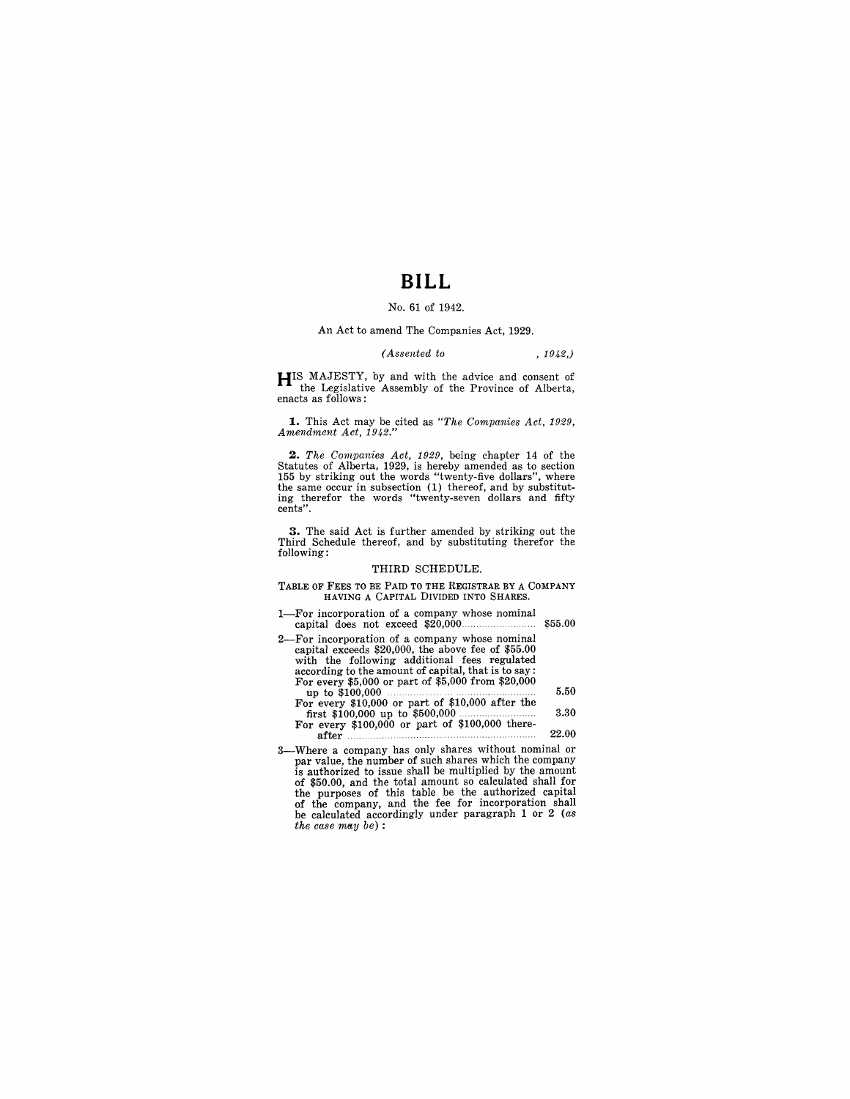# **BILL**

## No. 61 of 1942.

An Act to amend The Companies Act, 1929.

# *(Assented to* , 1942,)

**HIS** MAJESTY, by and with the advice and consent of the Legislative Assembly of the Province of Alberta, enacts as follows:

**1.** This Act may be cited as *"The Companies Act, 1929, Amendment Act, 1942."* 

**2.** The Companies Act, 1929, being chapter 14 of the Statutes of Alberta, 1929, is hereby amended as to section 155 by striking out the words "twenty-five dollars", where the same occur in subsection (1) thereof, and by cents".

**3.** The said Act is further amended by striking out the Third Schedule thereof, and by substituting therefor the following:

#### THIRD SCHEDULE.

TABLE OF FEES TO BE PAID TO THE REGISTRAR BY A COMPANY HAVING A CAPITAL DIVIDED INTO SHARES.

- 1-For incorporation of a company whose nominal capital does not exceed \$20,000. \$55.00
- 2-For incorporation of a company whose nominal capital exceeds \$20,000, the above fee of \$55.00 with the following additional fees regulated according to the amount of capital, that is to say: For every \$5,000 or part of \$5,000 from \$20,000 up to \$100,000 5.50 For every \$10,000 or part of \$10,000 after the first \$100,000 up to \$500,000 . 3.30 For every \$100,000 or part of \$100,000 there-<br>For every \$100,000 up to \$500,000 the series after .....................
- 3-Where a company has only shares without nominal or par value, the number of such shares which the company is authorized to issue shall be multiplied by the amount of \$50.00, and the total amount so calculated shall for the purposes of this table be the authorized capital of the company, and the fee for incorporation shall be calculated accordingly under paragraph 1 or 2 (as *the case may be*) :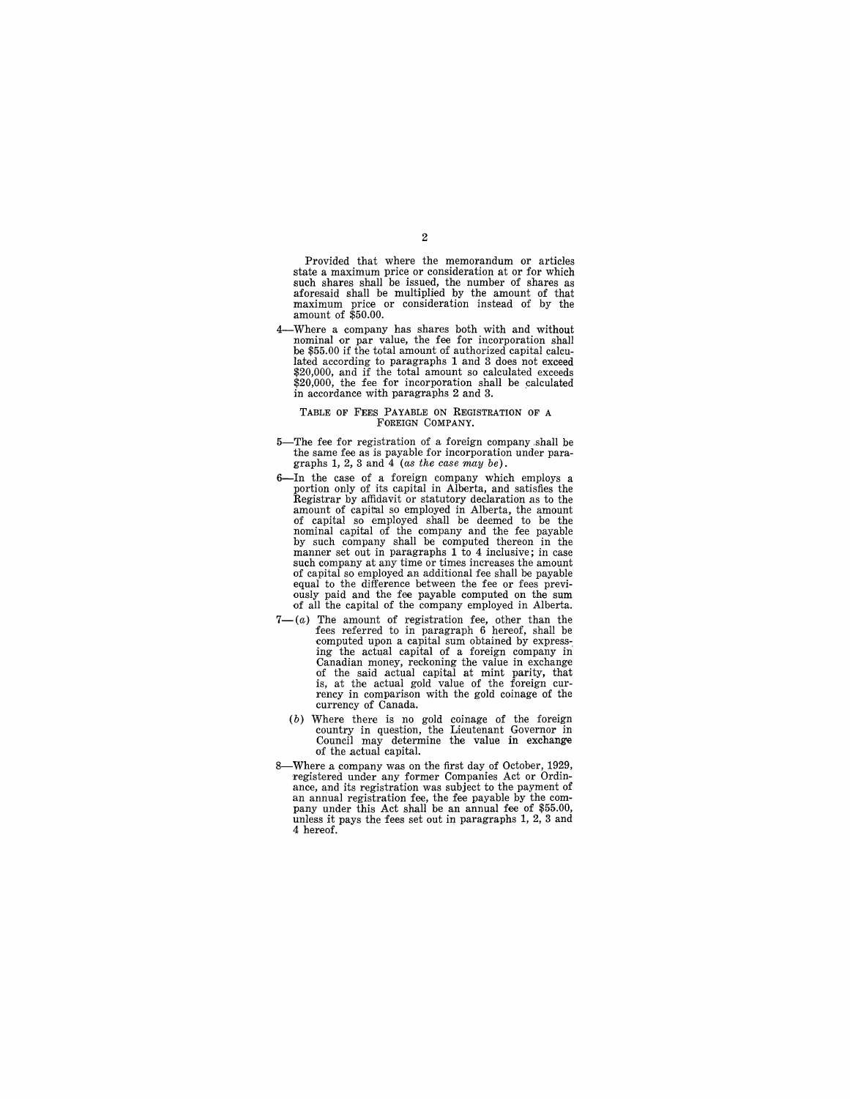Provided that where the memorandum or articles state a maximum price or consideration at or for which such shares shall be issued, the number of shares as aforesaid shall be multiplied by the amount of that maximum price or consideration instead of by the amount of \$50.00.

4-Where a company has shares both with and without nominal or par value, the fee for incorporation shall be \$55.00 if the total amount of authorized capital calculated according to paragraphs 1 and 3 does not exceed \$20,000, and if the total amount so calculated exceeds \$20,000, the fee for incorporation shall be calculated in accordance with paragraphs 2 and 3. .

#### TABLE OF FEES PAYABLE ON REGISTRATION OF A FOREIGN COMPANY.

- 5-The fee for registration of a foreign company.shall be the same fee as is payable for incorporation under paragraphs 1, 2, 3 and 4 (as the case may be).
- 6-In the case of a foreign company which employs a portion only of its capital in Alberta, and satisfies the Registrar by affidavit or statutory declaration as to the amount of capital so employed in Alberta, the amount of capital so employed shall be deemed to be the nominal capital of the company and the fee payable by such company shall be computed thereon in the manner set out in paragraphs 1 to 4 inclusive; in case such company at any time or times increases the amount of capital so employed an additional fee shall be payable equal to the difference between the fee or fees previously paid and the fee payable computed on the sum of all the capital of the company employed in Alberta.
- $7-(a)$  The amount of registration fee, other than the fees referred to in paragraph 6 hereof, shall be computed upon a capital sum obtained by expressing the actual capital of a foreign company in Canadian money, reckoning the value in exchange of the said actual capital at mint parity, that is, at the actual gold value of the foreign cur- rency in comparison with the gold coinage of the currency of Canada.
	- (b) Where there is no gold coinage of the foreign country in question, the Lieutenant Governor in Council may determine the value in exchange of the actual capital.
- 8-Where a company was on the first day of October, 1929, registered under any former Companies Act or Ordinan annual registration fee, the fee payable by the com-<br>pany under this Act shall be an annual fee of \$55.00, unless it pays the fees set out in paragraphs  $1, 2, 3$  and 4 hereof.

#### 2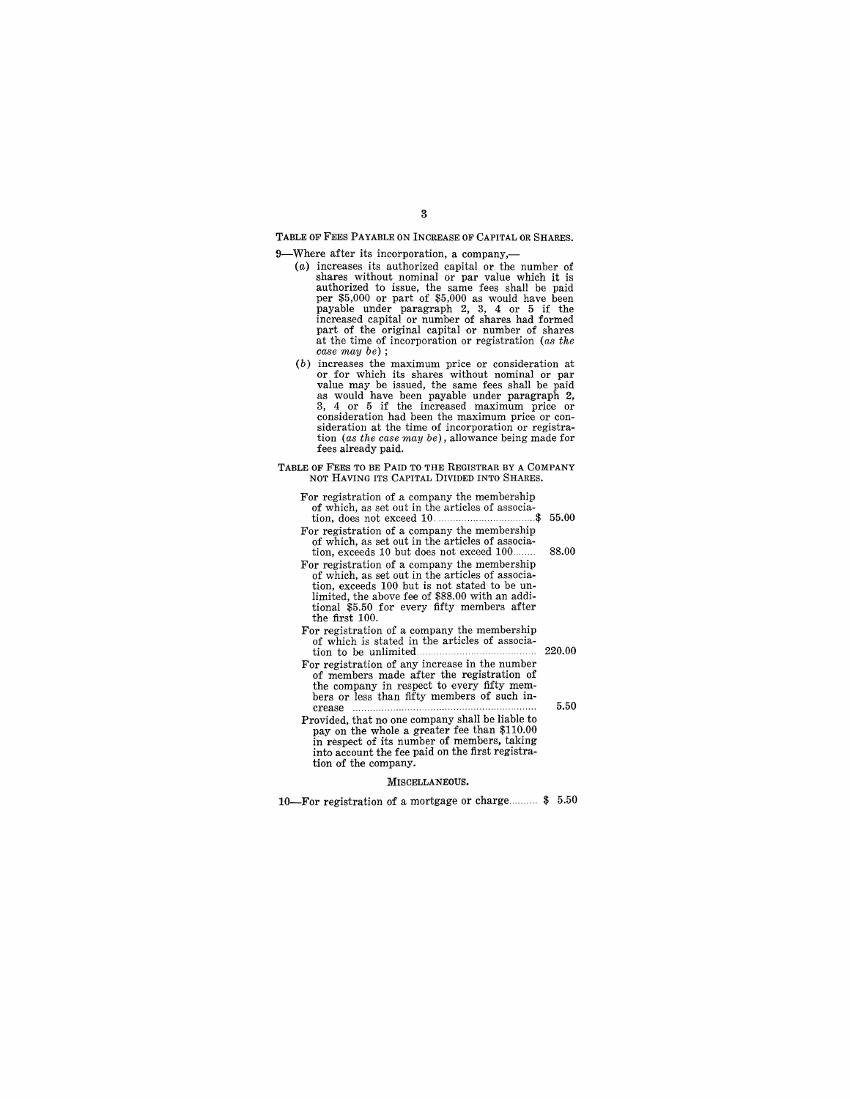# TABLE OF FEES PAYABLE ON INCREASE OF CAPITAL OR SHARES.

9-Where after its incorporation, a company,-

- (a) increases its authorized capital or the number of shares without nominal or par value which it is<br>authorized to issue, the same fees shall be paid<br>per \$5,000 or part of \$5,000 as would have been<br>payable under paragraph 2, 3, 4 or 5 if the<br>increased capital or number of s part of the original capital or number of shares at the time of incorporation or registration (as the case may be) ;
- (b) increases the maximum price or consideration at or for which its shares without nominal or par value may be issued, the same fees shall be paid as would have been payable under paragraph 2, 3, 4 or 5 if the increased maximum price or consideration had been the maximum price or consideration at the time of incorporation or registration (as the case may be) , allowance being made for fees already paid.

#### TABLE OF FEES TO BE PAID TO THE REGISTRAR BY A COMPANY NOT HAVING ITS CAPITAL DIVIDED INTO SHARES.

- For registration of a company the membership of which, as set out in the articles of association, does not exceed 10.. ... \$ 55.00
- For registration of a company the membership of which, as set out in the articles of associa
	- tion, exceeds 10 but does not exceed 100........ 88.00
- For registration of a company the membership of which, as set out in the articles of association, exceeds 100 but is not stated to be un- limited, the above fee of \$88.00 with an additional \$5.50 for every fifty members after the first 100.
- For registration of a company the membership of which is stated in the articles of association to be unlimited 220.00
- For registration of any increase in the number of members made after the registration of<br>the company in respect to every fifty memthe crease than fifty members of such increase  $\ldots$  5.50
- Provided, that no one company shall be liable to pay on the whole a greater fee than \$110.00 in respect of its number of members, taking into account the fee paid on the first registration of the company.

#### MISCELLANEOUS.

10-For registration of a mortgage or charge .......... \$ 5.50

### 3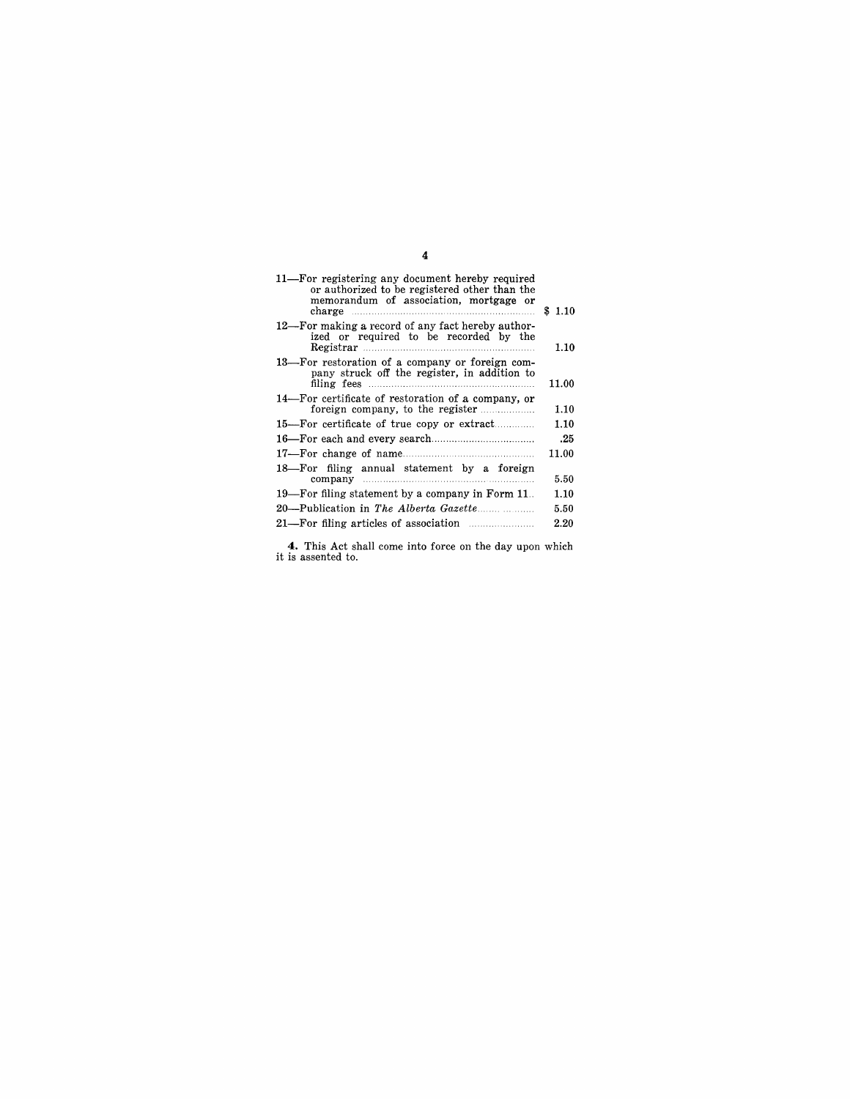| 11—For registering any document hereby required<br>or authorized to be registered other than the<br>memorandum of association, mortgage or<br>charge <b>charge</b> | \$1.10 |
|--------------------------------------------------------------------------------------------------------------------------------------------------------------------|--------|
| 12—For making a record of any fact hereby author-<br>ized or required to be recorded by the<br>Registrar                                                           | 1.10   |
| 13—For restoration of a company or foreign com-<br>pany struck off the register, in addition to                                                                    | 11.00  |
| 14—For certificate of restoration of a company, or<br>foreign company, to the register                                                                             | 1.10   |
| 15—For certificate of true copy or extract                                                                                                                         | 1.10   |
|                                                                                                                                                                    | .25    |
|                                                                                                                                                                    | 11.00  |
| 18—For filing annual statement by a foreign                                                                                                                        | 5.50   |
| 19—For filing statement by a company in Form 11.                                                                                                                   | 1.10   |
|                                                                                                                                                                    | 5.50   |
| 21—For filing articles of association <i>manuforman</i>                                                                                                            | 2.20   |

**4.** This Act shall come into force on the day upon which it is assented to.

4